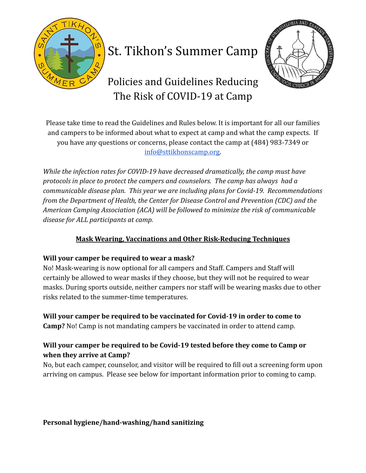

# St. Tikhon's Summer Camp



Policies and Guidelines Reducing The Risk of COVID-19 at Camp

Please take time to read the Guidelines and Rules below. It is important for all our families and campers to be informed about what to expect at camp and what the camp expects. If you have any questions or concerns, please contact the camp at (484) 983-7349 or [info@sttikhonscamp.org.](mailto:info@sttikhonscamp.org)

*While the infection rates for COVID-19 have decreased dramatically, the camp must have protocols in place to protect the campers and counselors. The camp has always had a communicable disease plan. This year we are including plans for Covid-19. Recommendations from the Department of Health, the Center for Disease Control and Prevention (CDC) and the American Camping Association (ACA) will be followed to minimize the risk of communicable disease for ALL participants at camp.*

# **Mask Wearing, Vaccinations and Other Risk-Reducing Techniques**

## **Will your camper be required to wear a mask?**

No! Mask-wearing is now optional for all campers and Staff. Campers and Staff will certainly be allowed to wear masks if they choose, but they will not be required to wear masks. During sports outside, neither campers nor staff will be wearing masks due to other risks related to the summer-time temperatures.

**Will your camper be required to be vaccinated for Covid-19 in order to come to Camp?** No! Camp is not mandating campers be vaccinated in order to attend camp.

# **Will your camper be required to be Covid-19 tested before they come to Camp or when they arrive at Camp?**

No, but each camper, counselor, and visitor will be required to fill out a screening form upon arriving on campus. Please see below for important information prior to coming to camp.

**Personal hygiene/hand-washing/hand sanitizing**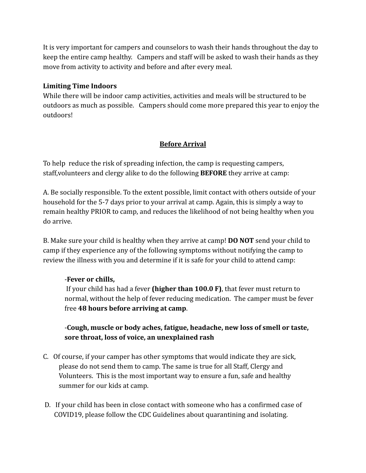It is very important for campers and counselors to wash their hands throughout the day to keep the entire camp healthy. Campers and staff will be asked to wash their hands as they move from activity to activity and before and after every meal.

## **Limiting Time Indoors**

While there will be indoor camp activities, activities and meals will be structured to be outdoors as much as possible. Campers should come more prepared this year to enjoy the outdoors!

## **Before Arrival**

To help reduce the risk of spreading infection, the camp is requesting campers, staff,volunteers and clergy alike to do the following **BEFORE** they arrive at camp:

A. Be socially responsible. To the extent possible, limit contact with others outside of your household for the 5-7 days prior to your arrival at camp. Again, this is simply a way to remain healthy PRIOR to camp, and reduces the likelihood of not being healthy when you do arrive.

B. Make sure your child is healthy when they arrive at camp! **DO NOT** send your child to camp if they experience any of the following symptoms without notifying the camp to review the illness with you and determine if it is safe for your child to attend camp:

#### -**Fever or chills,**

If your child has had a fever **(higher than 100.0 F)**, that fever must return to normal, without the help of fever reducing medication. The camper must be fever free **48 hours before arriving at camp**.

-**Cough, muscle or body aches, fatigue, headache, new loss of smell or taste, sore throat, loss of voice, an unexplained rash**

- C. Of course, if your camper has other symptoms that would indicate they are sick, please do not send them to camp. The same is true for all Staff, Clergy and Volunteers. This is the most important way to ensure a fun, safe and healthy summer for our kids at camp.
- D. If your child has been in close contact with someone who has a confirmed case of COVID19, please follow the CDC Guidelines about quarantining and isolating.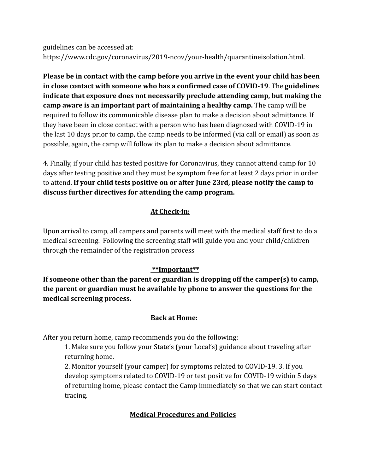guidelines can be accessed at: https://www.cdc.gov/coronavirus/2019-ncov/your-health/quarantineisolation.html.

**Please be in contact with the camp before you arrive in the event your child has been in close contact with someone who has a confirmed case of COVID-19**. The **guidelines indicate that exposure does not necessarily preclude attending camp, but making the camp aware is an important part of maintaining a healthy camp.** The camp will be required to follow its communicable disease plan to make a decision about admittance. If they have been in close contact with a person who has been diagnosed with COVID-19 in the last 10 days prior to camp, the camp needs to be informed (via call or email) as soon as possible, again, the camp will follow its plan to make a decision about admittance.

4. Finally, if your child has tested positive for Coronavirus, they cannot attend camp for 10 days after testing positive and they must be symptom free for at least 2 days prior in order to attend. **If your child tests positive on or after June 23rd, please notify the camp to discuss further directives for attending the camp program.**

## **At Check-in:**

Upon arrival to camp, all campers and parents will meet with the medical staff first to do a medical screening. Following the screening staff will guide you and your child/children through the remainder of the registration process

# **\*\*Important\*\***

**If someone other than the parent or guardian is dropping off the camper(s) to camp, the parent or guardian must be available by phone to answer the questions for the medical screening process.**

## **Back at Home:**

After you return home, camp recommends you do the following:

1. Make sure you follow your State's (your Local's) guidance about traveling after returning home.

2. Monitor yourself (your camper) for symptoms related to COVID-19. 3. If you develop symptoms related to COVID-19 or test positive for COVID-19 within 5 days of returning home, please contact the Camp immediately so that we can start contact tracing.

# **Medical Procedures and Policies**